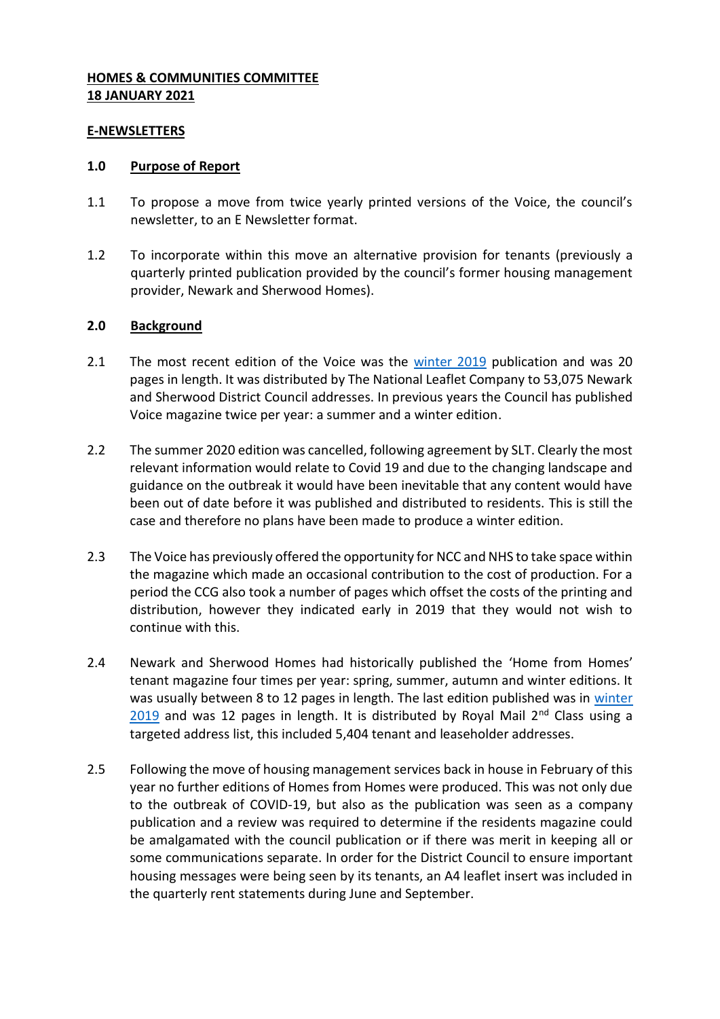## **HOMES & COMMUNITIES COMMITTEE 18 JANUARY 2021**

#### **E-NEWSLETTERS**

#### **1.0 Purpose of Report**

- 1.1 To propose a move from twice yearly printed versions of the Voice, the council's newsletter, to an E Newsletter format.
- 1.2 To incorporate within this move an alternative provision for tenants (previously a quarterly printed publication provided by the council's former housing management provider, Newark and Sherwood Homes).

### **2.0 Background**

- 2.1 The most recent edition of the Voice was the [winter 2019](http://nsdcintranet/media/newarkandsherwood/imagesandfiles/comms/VoiceWinter2019.pdf) publication and was 20 pages in length. It was distributed by The National Leaflet Company to 53,075 Newark and Sherwood District Council addresses. In previous years the Council has published Voice magazine twice per year: a summer and a winter edition.
- 2.2 The summer 2020 edition was cancelled, following agreement by SLT. Clearly the most relevant information would relate to Covid 19 and due to the changing landscape and guidance on the outbreak it would have been inevitable that any content would have been out of date before it was published and distributed to residents. This is still the case and therefore no plans have been made to produce a winter edition.
- 2.3 The Voice has previously offered the opportunity for NCC and NHS to take space within the magazine which made an occasional contribution to the cost of production. For a period the CCG also took a number of pages which offset the costs of the printing and distribution, however they indicated early in 2019 that they would not wish to continue with this.
- 2.4 Newark and Sherwood Homes had historically published the 'Home from Homes' tenant magazine four times per year: spring, summer, autumn and winter editions. It was usually between 8 to 12 pages in length. The last edition published was in [winter](http://www.nshomes.co.uk/media/ns,homes/documents/home,from,homes/Home%20from%20Homes%20Winter%202019%20FINAL.pdf)  [2019](http://www.nshomes.co.uk/media/ns,homes/documents/home,from,homes/Home%20from%20Homes%20Winter%202019%20FINAL.pdf) and was 12 pages in length. It is distributed by Royal Mail  $2<sup>nd</sup>$  Class using a targeted address list, this included 5,404 tenant and leaseholder addresses.
- 2.5 Following the move of housing management services back in house in February of this year no further editions of Homes from Homes were produced. This was not only due to the outbreak of COVID-19, but also as the publication was seen as a company publication and a review was required to determine if the residents magazine could be amalgamated with the council publication or if there was merit in keeping all or some communications separate. In order for the District Council to ensure important housing messages were being seen by its tenants, an A4 leaflet insert was included in the quarterly rent statements during June and September.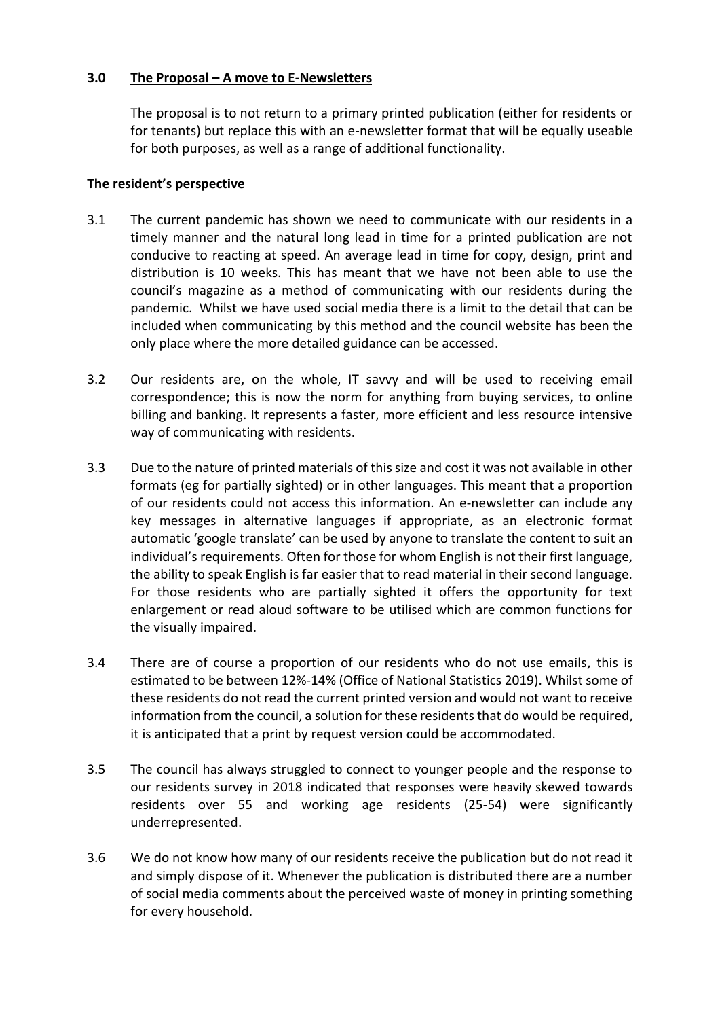## **3.0 The Proposal – A move to E-Newsletters**

The proposal is to not return to a primary printed publication (either for residents or for tenants) but replace this with an e-newsletter format that will be equally useable for both purposes, as well as a range of additional functionality.

### **The resident's perspective**

- 3.1 The current pandemic has shown we need to communicate with our residents in a timely manner and the natural long lead in time for a printed publication are not conducive to reacting at speed. An average lead in time for copy, design, print and distribution is 10 weeks. This has meant that we have not been able to use the council's magazine as a method of communicating with our residents during the pandemic. Whilst we have used social media there is a limit to the detail that can be included when communicating by this method and the council website has been the only place where the more detailed guidance can be accessed.
- 3.2 Our residents are, on the whole, IT savvy and will be used to receiving email correspondence; this is now the norm for anything from buying services, to online billing and banking. It represents a faster, more efficient and less resource intensive way of communicating with residents.
- 3.3 Due to the nature of printed materials of this size and cost it was not available in other formats (eg for partially sighted) or in other languages. This meant that a proportion of our residents could not access this information. An e-newsletter can include any key messages in alternative languages if appropriate, as an electronic format automatic 'google translate' can be used by anyone to translate the content to suit an individual's requirements. Often for those for whom English is not their first language, the ability to speak English is far easier that to read material in their second language. For those residents who are partially sighted it offers the opportunity for text enlargement or read aloud software to be utilised which are common functions for the visually impaired.
- 3.4 There are of course a proportion of our residents who do not use emails, this is estimated to be between 12%-14% (Office of National Statistics 2019). Whilst some of these residents do not read the current printed version and would not want to receive information from the council, a solution for these residents that do would be required, it is anticipated that a print by request version could be accommodated.
- 3.5 The council has always struggled to connect to younger people and the response to our residents survey in 2018 indicated that responses were heavily skewed towards residents over 55 and working age residents (25-54) were significantly underrepresented.
- 3.6 We do not know how many of our residents receive the publication but do not read it and simply dispose of it. Whenever the publication is distributed there are a number of social media comments about the perceived waste of money in printing something for every household.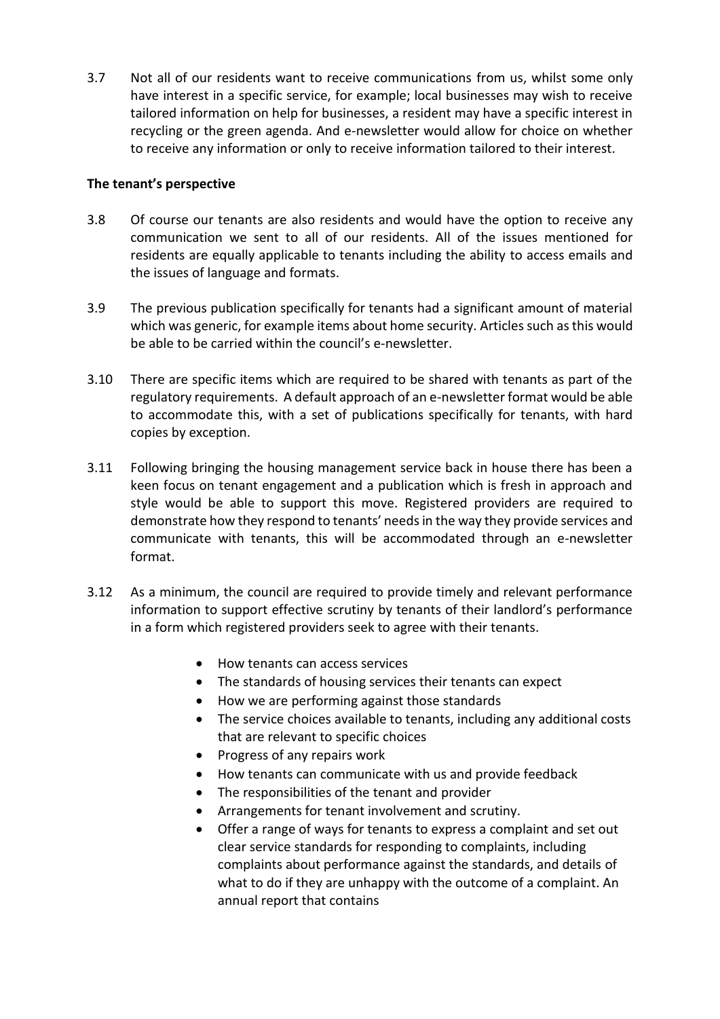3.7 Not all of our residents want to receive communications from us, whilst some only have interest in a specific service, for example; local businesses may wish to receive tailored information on help for businesses, a resident may have a specific interest in recycling or the green agenda. And e-newsletter would allow for choice on whether to receive any information or only to receive information tailored to their interest.

## **The tenant's perspective**

- 3.8 Of course our tenants are also residents and would have the option to receive any communication we sent to all of our residents. All of the issues mentioned for residents are equally applicable to tenants including the ability to access emails and the issues of language and formats.
- 3.9 The previous publication specifically for tenants had a significant amount of material which was generic, for example items about home security. Articles such as this would be able to be carried within the council's e-newsletter.
- 3.10 There are specific items which are required to be shared with tenants as part of the regulatory requirements. A default approach of an e-newsletter format would be able to accommodate this, with a set of publications specifically for tenants, with hard copies by exception.
- 3.11 Following bringing the housing management service back in house there has been a keen focus on tenant engagement and a publication which is fresh in approach and style would be able to support this move. Registered providers are required to demonstrate how they respond to tenants' needs in the way they provide services and communicate with tenants, this will be accommodated through an e-newsletter format.
- 3.12 As a minimum, the council are required to provide timely and relevant performance information to support effective scrutiny by tenants of their landlord's performance in a form which registered providers seek to agree with their tenants.
	- How tenants can access services
	- The standards of housing services their tenants can expect
	- How we are performing against those standards
	- The service choices available to tenants, including any additional costs that are relevant to specific choices
	- Progress of any repairs work
	- How tenants can communicate with us and provide feedback
	- The responsibilities of the tenant and provider
	- Arrangements for tenant involvement and scrutiny.
	- Offer a range of ways for tenants to express a complaint and set out clear service standards for responding to complaints, including complaints about performance against the standards, and details of what to do if they are unhappy with the outcome of a complaint. An annual report that contains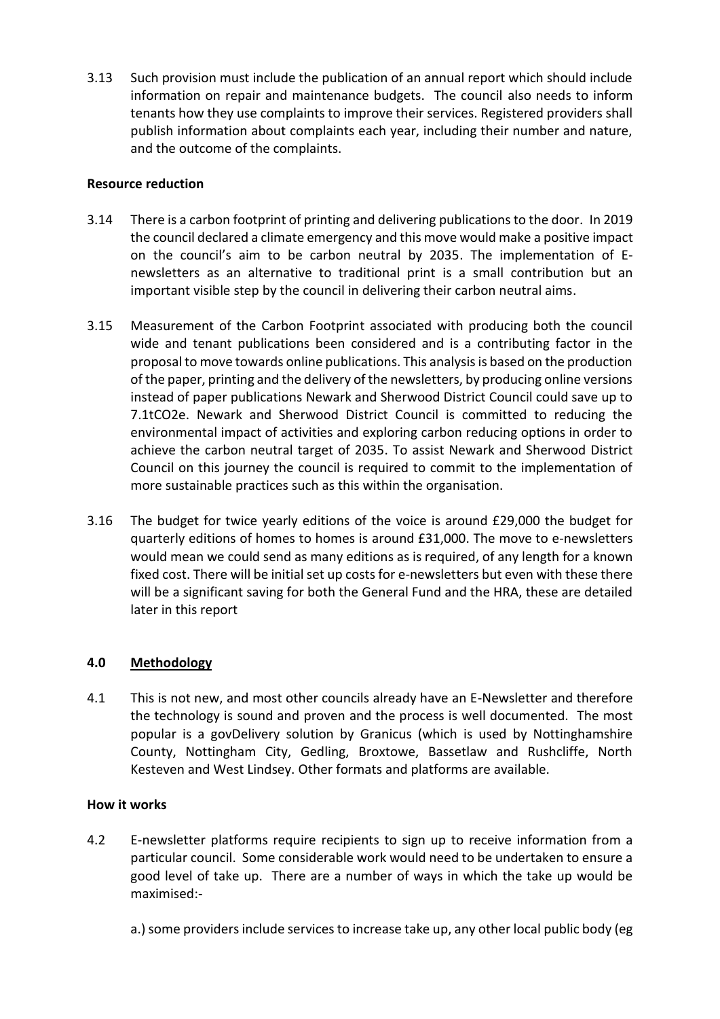3.13 Such provision must include the publication of an annual report which should include information on repair and maintenance budgets. The council also needs to inform tenants how they use complaints to improve their services. Registered providers shall publish information about complaints each year, including their number and nature, and the outcome of the complaints.

## **Resource reduction**

- 3.14 There is a carbon footprint of printing and delivering publications to the door. In 2019 the council declared a climate emergency and this move would make a positive impact on the council's aim to be carbon neutral by 2035. The implementation of Enewsletters as an alternative to traditional print is a small contribution but an important visible step by the council in delivering their carbon neutral aims.
- 3.15 Measurement of the Carbon Footprint associated with producing both the council wide and tenant publications been considered and is a contributing factor in the proposal to move towards online publications. This analysis is based on the production of the paper, printing and the delivery of the newsletters, by producing online versions instead of paper publications Newark and Sherwood District Council could save up to 7.1tCO2e. Newark and Sherwood District Council is committed to reducing the environmental impact of activities and exploring carbon reducing options in order to achieve the carbon neutral target of 2035. To assist Newark and Sherwood District Council on this journey the council is required to commit to the implementation of more sustainable practices such as this within the organisation.
- 3.16 The budget for twice yearly editions of the voice is around £29,000 the budget for quarterly editions of homes to homes is around £31,000. The move to e-newsletters would mean we could send as many editions as is required, of any length for a known fixed cost. There will be initial set up costs for e-newsletters but even with these there will be a significant saving for both the General Fund and the HRA, these are detailed later in this report

# **4.0 Methodology**

4.1 This is not new, and most other councils already have an E-Newsletter and therefore the technology is sound and proven and the process is well documented. The most popular is a govDelivery solution by Granicus (which is used by Nottinghamshire County, Nottingham City, Gedling, Broxtowe, Bassetlaw and Rushcliffe, North Kesteven and West Lindsey. Other formats and platforms are available.

### **How it works**

- 4.2 E-newsletter platforms require recipients to sign up to receive information from a particular council. Some considerable work would need to be undertaken to ensure a good level of take up. There are a number of ways in which the take up would be maximised:
	- a.) some providers include services to increase take up, any other local public body (eg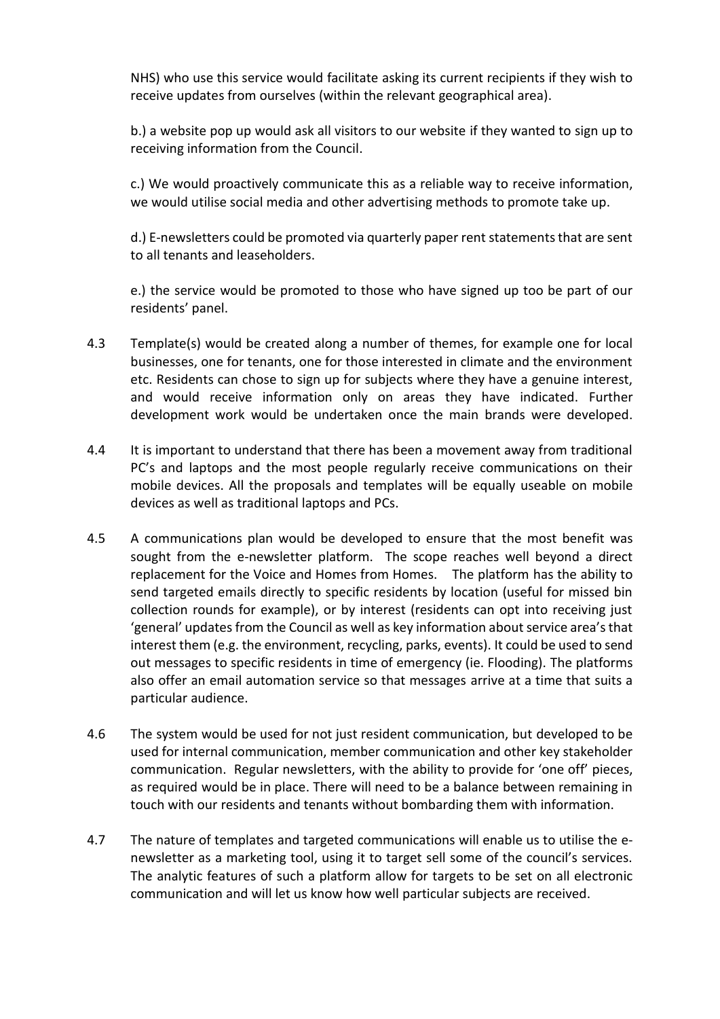NHS) who use this service would facilitate asking its current recipients if they wish to receive updates from ourselves (within the relevant geographical area).

b.) a website pop up would ask all visitors to our website if they wanted to sign up to receiving information from the Council.

c.) We would proactively communicate this as a reliable way to receive information, we would utilise social media and other advertising methods to promote take up.

d.) E-newsletters could be promoted via quarterly paper rent statements that are sent to all tenants and leaseholders.

e.) the service would be promoted to those who have signed up too be part of our residents' panel.

- 4.3 Template(s) would be created along a number of themes, for example one for local businesses, one for tenants, one for those interested in climate and the environment etc. Residents can chose to sign up for subjects where they have a genuine interest, and would receive information only on areas they have indicated. Further development work would be undertaken once the main brands were developed.
- 4.4 It is important to understand that there has been a movement away from traditional PC's and laptops and the most people regularly receive communications on their mobile devices. All the proposals and templates will be equally useable on mobile devices as well as traditional laptops and PCs.
- 4.5 A communications plan would be developed to ensure that the most benefit was sought from the e-newsletter platform. The scope reaches well beyond a direct replacement for the Voice and Homes from Homes. The platform has the ability to send targeted emails directly to specific residents by location (useful for missed bin collection rounds for example), or by interest (residents can opt into receiving just 'general' updates from the Council as well as key information about service area's that interest them (e.g. the environment, recycling, parks, events). It could be used to send out messages to specific residents in time of emergency (ie. Flooding). The platforms also offer an email automation service so that messages arrive at a time that suits a particular audience.
- 4.6 The system would be used for not just resident communication, but developed to be used for internal communication, member communication and other key stakeholder communication. Regular newsletters, with the ability to provide for 'one off' pieces, as required would be in place. There will need to be a balance between remaining in touch with our residents and tenants without bombarding them with information.
- 4.7 The nature of templates and targeted communications will enable us to utilise the enewsletter as a marketing tool, using it to target sell some of the council's services. The analytic features of such a platform allow for targets to be set on all electronic communication and will let us know how well particular subjects are received.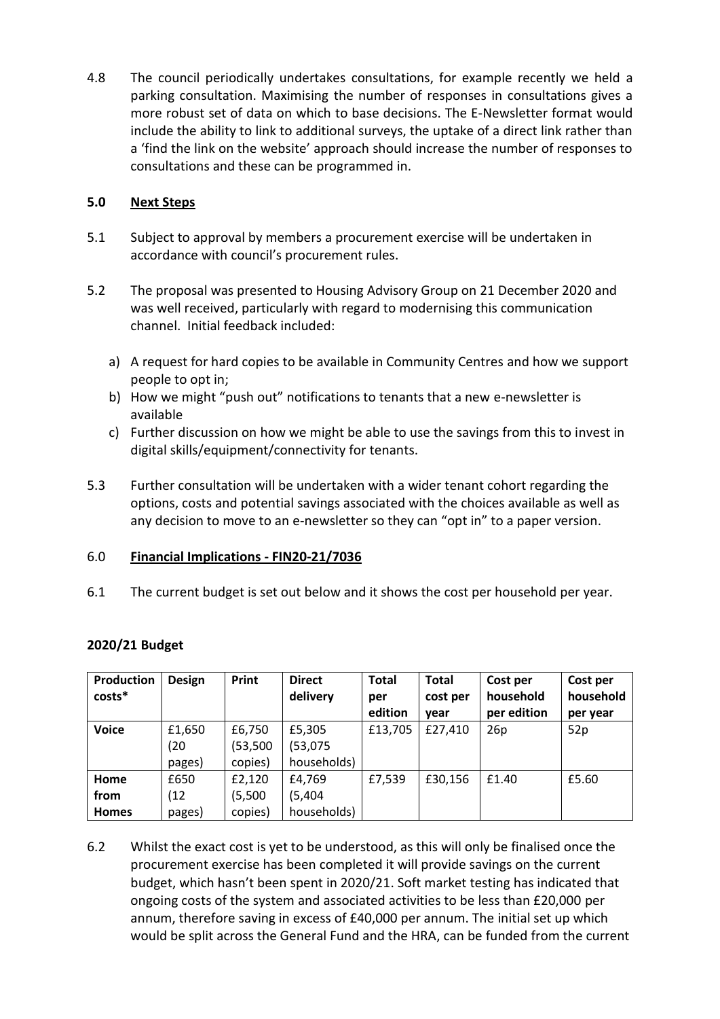4.8 The council periodically undertakes consultations, for example recently we held a parking consultation. Maximising the number of responses in consultations gives a more robust set of data on which to base decisions. The E-Newsletter format would include the ability to link to additional surveys, the uptake of a direct link rather than a 'find the link on the website' approach should increase the number of responses to consultations and these can be programmed in.

# **5.0 Next Steps**

- 5.1 Subject to approval by members a procurement exercise will be undertaken in accordance with council's procurement rules.
- 5.2 The proposal was presented to Housing Advisory Group on 21 December 2020 and was well received, particularly with regard to modernising this communication channel. Initial feedback included:
	- a) A request for hard copies to be available in Community Centres and how we support people to opt in;
	- b) How we might "push out" notifications to tenants that a new e-newsletter is available
	- c) Further discussion on how we might be able to use the savings from this to invest in digital skills/equipment/connectivity for tenants.
- 5.3 Further consultation will be undertaken with a wider tenant cohort regarding the options, costs and potential savings associated with the choices available as well as any decision to move to an e-newsletter so they can "opt in" to a paper version.

# 6.0 **Financial Implications - FIN20-21/7036**

6.1 The current budget is set out below and it shows the cost per household per year.

| Production<br>costs* | <b>Design</b> | Print     | <b>Direct</b><br>delivery | <b>Total</b><br>per<br>edition | <b>Total</b><br>cost per<br>vear | Cost per<br>household<br>per edition | Cost per<br>household<br>per year |
|----------------------|---------------|-----------|---------------------------|--------------------------------|----------------------------------|--------------------------------------|-----------------------------------|
| <b>Voice</b>         | £1,650        | £6,750    | £5,305                    | £13,705                        | £27,410                          | 26p                                  | 52p                               |
|                      | (20)          | (53, 500) | (53,075)                  |                                |                                  |                                      |                                   |
|                      | pages)        | copies)   | households)               |                                |                                  |                                      |                                   |
| Home                 | £650          | £2,120    | £4,769                    | £7,539                         | £30,156                          | £1.40                                | £5.60                             |
| from                 | (12)          | (5,500)   | (5,404)                   |                                |                                  |                                      |                                   |
| <b>Homes</b>         | pages)        | copies)   | households)               |                                |                                  |                                      |                                   |

# **2020/21 Budget**

6.2 Whilst the exact cost is yet to be understood, as this will only be finalised once the procurement exercise has been completed it will provide savings on the current budget, which hasn't been spent in 2020/21. Soft market testing has indicated that ongoing costs of the system and associated activities to be less than £20,000 per annum, therefore saving in excess of £40,000 per annum. The initial set up which would be split across the General Fund and the HRA, can be funded from the current